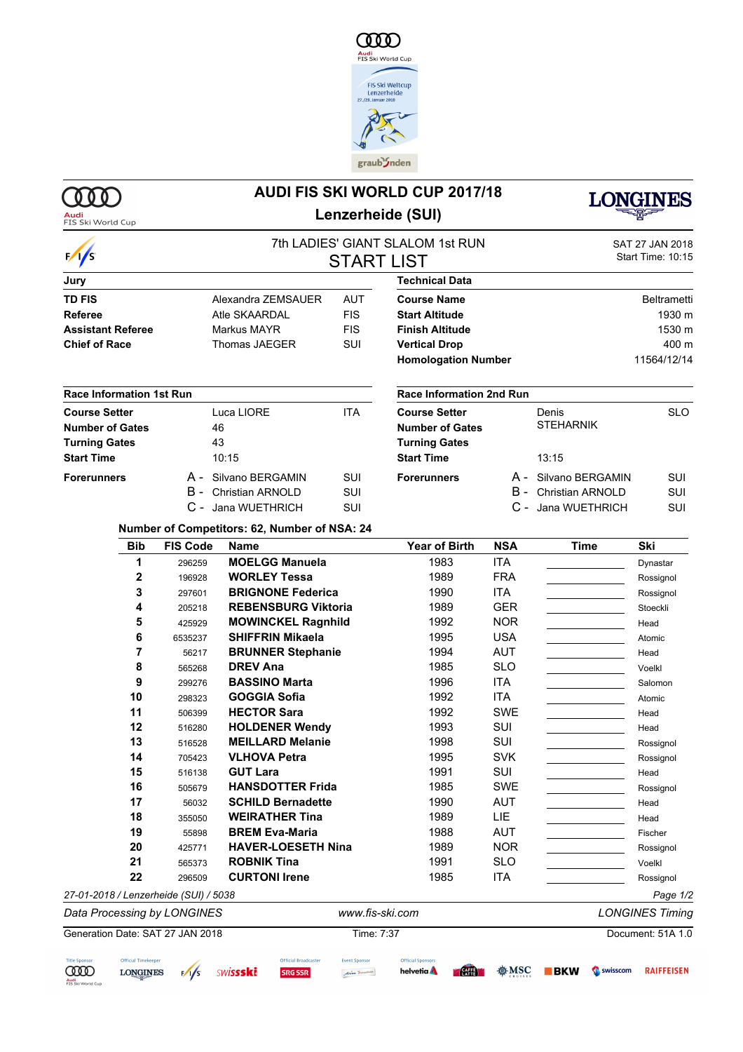

## **AUDI FIS SKI WORLD CUP 2017/18 Lenzerheide (SUI)**



**Audi**<br>FIS Ski World Cup

 $\gamma$ 

| $\frac{1}{s}$                                  |                                              | <b>START LIST</b> | 7th LADIES' GIANT SLALOM 1st RUN               |            | SAT 27 JAN 2018<br>Start Time: 10:15 |                    |  |  |
|------------------------------------------------|----------------------------------------------|-------------------|------------------------------------------------|------------|--------------------------------------|--------------------|--|--|
| Jury                                           |                                              |                   | <b>Technical Data</b>                          |            |                                      |                    |  |  |
| <b>TD FIS</b>                                  | Alexandra ZEMSAUER                           | <b>AUT</b>        | <b>Course Name</b>                             |            |                                      | <b>Beltrametti</b> |  |  |
| <b>Referee</b>                                 | Atle SKAARDAL                                | <b>FIS</b>        | <b>Start Altitude</b>                          |            |                                      | 1930 m             |  |  |
| <b>Assistant Referee</b>                       | Markus MAYR                                  | <b>FIS</b>        | <b>Finish Altitude</b>                         |            | 1530 m                               |                    |  |  |
| <b>Chief of Race</b>                           | Thomas JAEGER                                | SUI               | <b>Vertical Drop</b>                           |            |                                      | 400 m              |  |  |
|                                                |                                              |                   | <b>Homologation Number</b>                     |            |                                      | 11564/12/14        |  |  |
| <b>Race Information 1st Run</b>                |                                              |                   | <b>Race Information 2nd Run</b>                |            |                                      |                    |  |  |
| <b>Course Setter</b><br><b>Number of Gates</b> | Luca LIORE<br>46                             | ITA               | <b>Course Setter</b><br><b>Number of Gates</b> |            | Denis<br><b>STEHARNIK</b>            | <b>SLO</b>         |  |  |
| <b>Turning Gates</b>                           | 43                                           |                   | <b>Turning Gates</b>                           |            |                                      |                    |  |  |
| <b>Start Time</b>                              | 10:15                                        |                   | <b>Start Time</b>                              |            | 13:15                                |                    |  |  |
| <b>Forerunners</b>                             | A - Silvano BERGAMIN                         | SUI               | <b>Forerunners</b>                             |            | A - Silvano BERGAMIN                 | SUI                |  |  |
|                                                | B -<br><b>Christian ARNOLD</b>               | SUI               |                                                | B -        | <b>Christian ARNOLD</b>              | SUI                |  |  |
|                                                | C - Jana WUETHRICH                           | SUI               |                                                |            | C - Jana WUETHRICH                   | SUI                |  |  |
|                                                | Number of Competitors: 62, Number of NSA: 24 |                   |                                                |            |                                      |                    |  |  |
| <b>Bib</b>                                     | <b>FIS Code</b><br><b>Name</b>               |                   | Year of Birth                                  | <b>NSA</b> | Time                                 | Ski                |  |  |
| $\overline{a}$                                 | MOELOO Menuale<br>000000                     |                   | 1000                                           | IT A       |                                      |                    |  |  |

| 296259                      | <b>MOELGG Manuela</b>      | 1983                                  | <b>ITA</b>      | Dynastar               |
|-----------------------------|----------------------------|---------------------------------------|-----------------|------------------------|
| 196928                      | <b>WORLEY Tessa</b>        | 1989                                  | <b>FRA</b>      | Rossignol              |
| 297601                      | <b>BRIGNONE Federica</b>   | 1990                                  | <b>ITA</b>      | Rossignol              |
| 205218                      | <b>REBENSBURG Viktoria</b> | 1989                                  | <b>GER</b>      | Stoeckli               |
| 425929                      | <b>MOWINCKEL Ragnhild</b>  | 1992                                  | <b>NOR</b>      | Head                   |
| 6535237                     | <b>SHIFFRIN Mikaela</b>    | 1995                                  | <b>USA</b>      | Atomic                 |
| 56217                       | <b>BRUNNER Stephanie</b>   | 1994                                  | <b>AUT</b>      | Head                   |
| 565268                      | <b>DREV Ana</b>            | 1985                                  | <b>SLO</b>      | Voelkl                 |
| 299276                      | <b>BASSINO Marta</b>       | 1996                                  | ITA             | Salomon                |
| 298323                      | <b>GOGGIA Sofia</b>        | 1992                                  | <b>ITA</b>      | Atomic                 |
| 506399                      | <b>HECTOR Sara</b>         | 1992                                  | <b>SWE</b>      | Head                   |
| 516280                      | <b>HOLDENER Wendy</b>      | 1993                                  | SUI             | Head                   |
| 516528                      | <b>MEILLARD Melanie</b>    | 1998                                  | SUI             | Rossignol              |
| 705423                      | <b>VLHOVA Petra</b>        | 1995                                  | <b>SVK</b>      | Rossignol              |
| 516138                      | <b>GUT Lara</b>            | 1991                                  | SUI             | Head                   |
| 505679                      | <b>HANSDOTTER Frida</b>    | 1985                                  | SWE             | Rossignol              |
| 56032                       | <b>SCHILD Bernadette</b>   | 1990                                  | <b>AUT</b>      | Head                   |
| 355050                      | <b>WEIRATHER Tina</b>      | 1989                                  | <b>LIE</b>      | Head                   |
| 55898                       | <b>BREM Eva-Maria</b>      | 1988                                  | AUT             | Fischer                |
| 425771                      | <b>HAVER-LOESETH Nina</b>  | 1989                                  | <b>NOR</b>      | Rossignol              |
| 565373                      | <b>ROBNIK Tina</b>         | 1991                                  | <b>SLO</b>      | Voelkl                 |
| 296509                      | <b>CURTONI Irene</b>       | 1985                                  | <b>ITA</b>      | Rossignol              |
|                             |                            |                                       |                 | Page 1/2               |
| Data Processing by LONGINES |                            |                                       |                 | <b>LONGINES Timing</b> |
|                             |                            | 27-01-2018 / Lenzerheide (SUI) / 5038 | www.fis-ski.com |                        |

## Generation Date: SAT 27 JAN 2018 Time: 7:37 Document: 51A 1.0THE CANALA Official Timekeeper Official Broadcaster Event Sponsor Official Sponsors

Arosa Iusanista





**SRG SSR** 

```
helvetia A
```